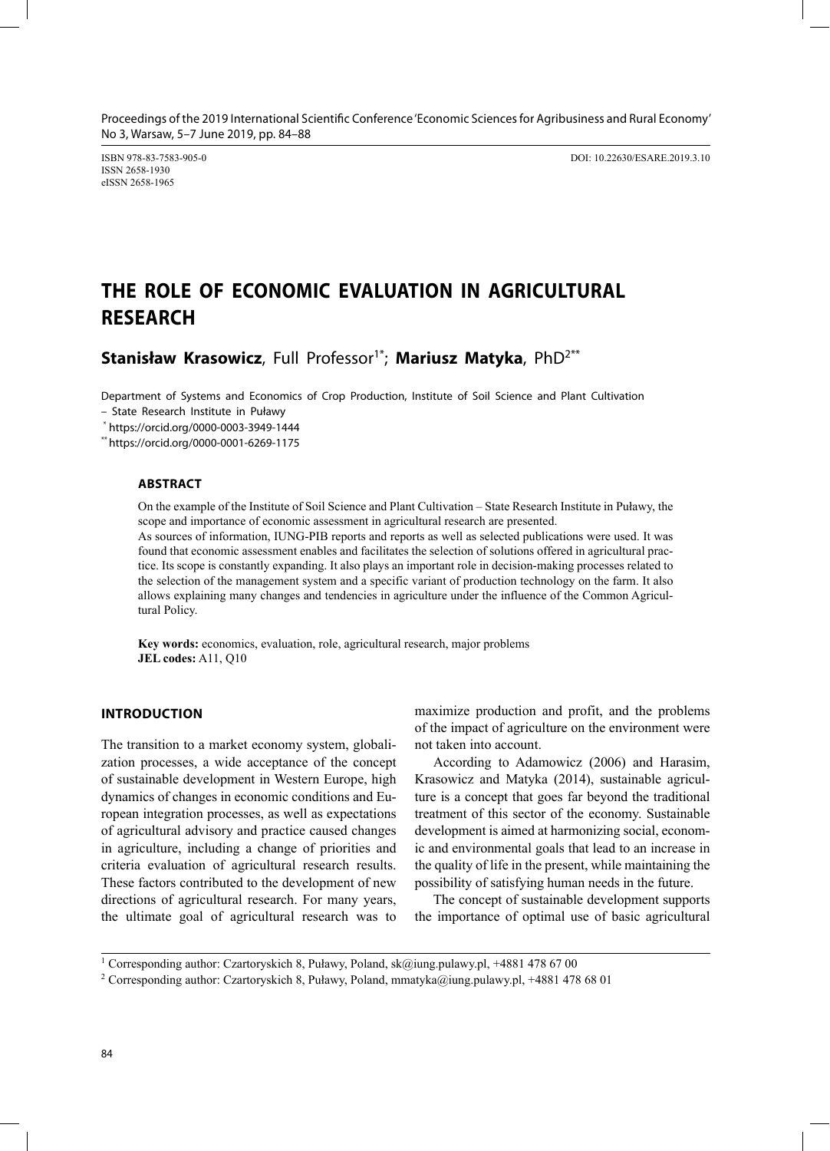ISSN 2658-1930 eISSN 2658-1965

ISBN 978-83-7583-905-0 DOI: 10.22630/ESARE.2019.3.10

# **THE ROLE OF ECONOMIC EVALUATION IN AGRICULTURAL RESEARCH**

Stanisław Krasowicz, Full Professor<sup>1\*</sup>; Mariusz Matyka, PhD<sup>2\*\*</sup>

Department of Systems and Economics of Crop Production, Institute of Soil Science and Plant Cultivation

– State Research Institute in Puławy

\* https://orcid.org/0000-0003-3949-1444

\*\* https://orcid.org/0000-0001-6269-1175

### **ABSTRACT**

On the example of the Institute of Soil Science and Plant Cultivation – State Research Institute in Puławy, the scope and importance of economic assessment in agricultural research are presented.

As sources of information, IUNG-PIB reports and reports as well as selected publications were used. It was found that economic assessment enables and facilitates the selection of solutions offered in agricultural practice. Its scope is constantly expanding. It also plays an important role in decision-making processes related to the selection of the management system and a specific variant of production technology on the farm. It also allows explaining many changes and tendencies in agriculture under the influence of the Common Agricultural Policy.

**Key words:** economics, evaluation, role, agricultural research, major problems **JEL codes:** A11, Q10

### **INTRODUCTION**

The transition to a market economy system, globalization processes, a wide acceptance of the concept of sustainable development in Western Europe, high dynamics of changes in economic conditions and European integration processes, as well as expectations of agricultural advisory and practice caused changes in agriculture, including a change of priorities and criteria evaluation of agricultural research results. These factors contributed to the development of new directions of agricultural research. For many years, the ultimate goal of agricultural research was to maximize production and profit, and the problems of the impact of agriculture on the environment were not taken into account.

According to Adamowicz (2006) and Harasim, Krasowicz and Matyka (2014), sustainable agriculture is a concept that goes far beyond the traditional treatment of this sector of the economy. Sustainable development is aimed at harmonizing social, economic and environmental goals that lead to an increase in the quality of life in the present, while maintaining the possibility of satisfying human needs in the future.

The concept of sustainable development supports the importance of optimal use of basic agricultural

<sup>&</sup>lt;sup>1</sup> Corresponding author: Czartoryskich 8, Puławy, Poland, sk@iung.pulawy.pl, +4881 478 67 00

<sup>2</sup> Corresponding author: Czartoryskich 8, Puławy, Poland, mmatyka@iung.pulawy.pl, +4881 478 68 01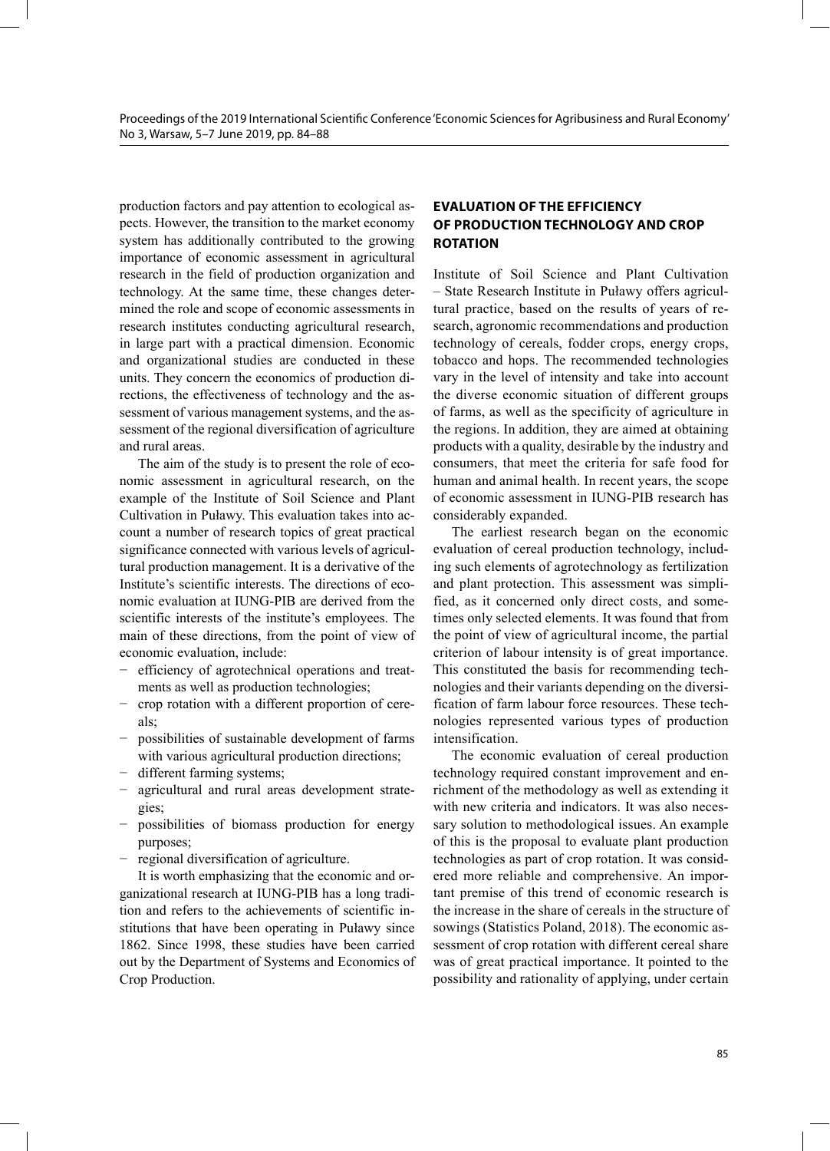production factors and pay attention to ecological aspects. However, the transition to the market economy system has additionally contributed to the growing importance of economic assessment in agricultural research in the field of production organization and technology. At the same time, these changes determined the role and scope of economic assessments in research institutes conducting agricultural research, in large part with a practical dimension. Economic and organizational studies are conducted in these units. They concern the economics of production directions, the effectiveness of technology and the assessment of various management systems, and the assessment of the regional diversification of agriculture and rural areas.

The aim of the study is to present the role of economic assessment in agricultural research, on the example of the Institute of Soil Science and Plant Cultivation in Puławy. This evaluation takes into account a number of research topics of great practical significance connected with various levels of agricultural production management. It is a derivative of the Institute's scientific interests. The directions of economic evaluation at IUNG-PIB are derived from the scientific interests of the institute's employees. The main of these directions, from the point of view of economic evaluation, include:

- − efficiency of agrotechnical operations and treatments as well as production technologies;
- − crop rotation with a different proportion of cereals;
- − possibilities of sustainable development of farms with various agricultural production directions;
- different farming systems;
- − agricultural and rural areas development strategies;
- possibilities of biomass production for energy purposes;
- − regional diversification of agriculture.

It is worth emphasizing that the economic and organizational research at IUNG-PIB has a long tradition and refers to the achievements of scientific institutions that have been operating in Puławy since 1862. Since 1998, these studies have been carried out by the Department of Systems and Economics of Crop Production.

# **EVALUATION OF THE EFFICIENCY OF PRODUCTION TECHNOLOGY AND CROP ROTATION**

Institute of Soil Science and Plant Cultivation – State Research Institute in Puławy offers agricultural practice, based on the results of years of research, agronomic recommendations and production technology of cereals, fodder crops, energy crops, tobacco and hops. The recommended technologies vary in the level of intensity and take into account the diverse economic situation of different groups of farms, as well as the specificity of agriculture in the regions. In addition, they are aimed at obtaining products with a quality, desirable by the industry and consumers, that meet the criteria for safe food for human and animal health. In recent years, the scope of economic assessment in IUNG-PIB research has considerably expanded.

The earliest research began on the economic evaluation of cereal production technology, including such elements of agrotechnology as fertilization and plant protection. This assessment was simplified, as it concerned only direct costs, and sometimes only selected elements. It was found that from the point of view of agricultural income, the partial criterion of labour intensity is of great importance. This constituted the basis for recommending technologies and their variants depending on the diversification of farm labour force resources. These technologies represented various types of production intensification.

The economic evaluation of cereal production technology required constant improvement and enrichment of the methodology as well as extending it with new criteria and indicators. It was also necessary solution to methodological issues. An example of this is the proposal to evaluate plant production technologies as part of crop rotation. It was considered more reliable and comprehensive. An important premise of this trend of economic research is the increase in the share of cereals in the structure of sowings (Statistics Poland, 2018). The economic assessment of crop rotation with different cereal share was of great practical importance. It pointed to the possibility and rationality of applying, under certain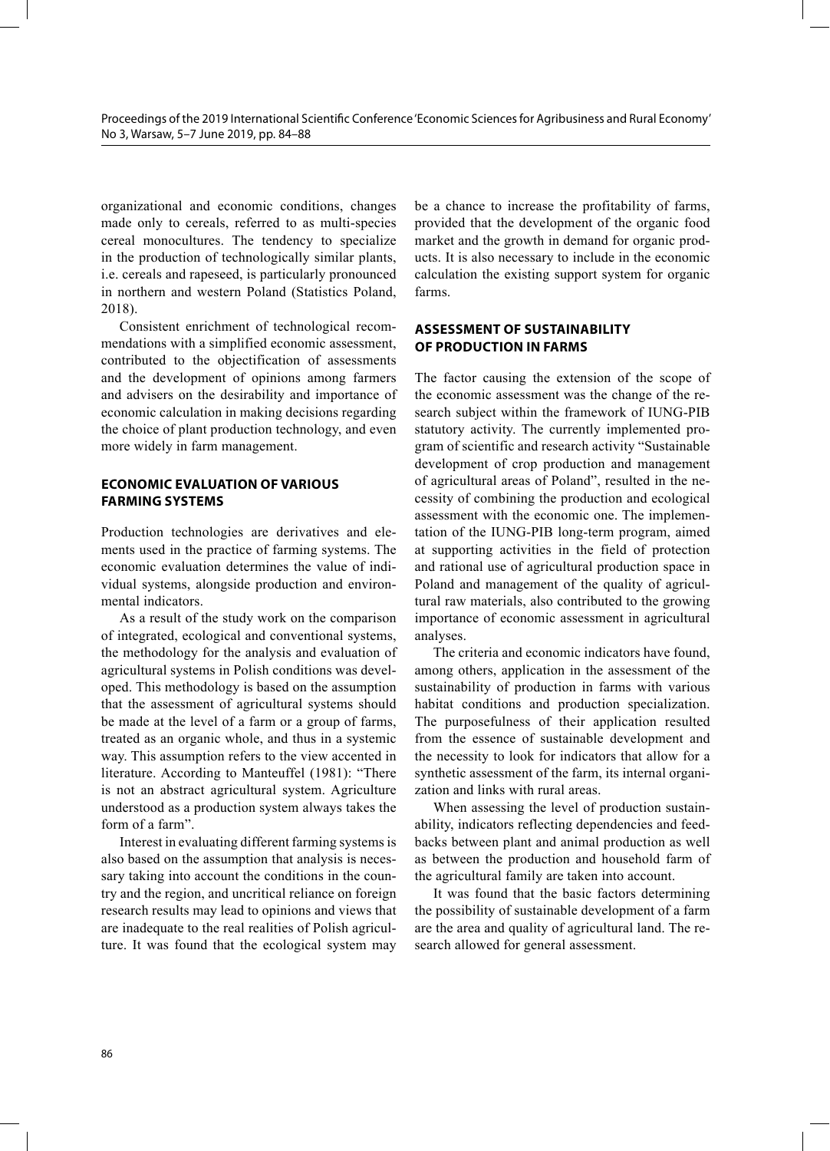organizational and economic conditions, changes made only to cereals, referred to as multi-species cereal monocultures. The tendency to specialize in the production of technologically similar plants, i.e. cereals and rapeseed, is particularly pronounced in northern and western Poland (Statistics Poland, 2018).

Consistent enrichment of technological recommendations with a simplified economic assessment, contributed to the objectification of assessments and the development of opinions among farmers and advisers on the desirability and importance of economic calculation in making decisions regarding the choice of plant production technology, and even more widely in farm management.

## **ECONOMIC EVALUATION OF VARIOUS FARMING SYSTEMS**

Production technologies are derivatives and elements used in the practice of farming systems. The economic evaluation determines the value of individual systems, alongside production and environmental indicators.

As a result of the study work on the comparison of integrated, ecological and conventional systems, the methodology for the analysis and evaluation of agricultural systems in Polish conditions was developed. This methodology is based on the assumption that the assessment of agricultural systems should be made at the level of a farm or a group of farms, treated as an organic whole, and thus in a systemic way. This assumption refers to the view accented in literature. According to Manteuffel (1981): "There is not an abstract agricultural system. Agriculture understood as a production system always takes the form of a farm".

Interest in evaluating different farming systems is also based on the assumption that analysis is necessary taking into account the conditions in the country and the region, and uncritical reliance on foreign research results may lead to opinions and views that are inadequate to the real realities of Polish agriculture. It was found that the ecological system may

be a chance to increase the profitability of farms, provided that the development of the organic food market and the growth in demand for organic products. It is also necessary to include in the economic calculation the existing support system for organic farms.

# **ASSESSMENT OF SUSTAINABILITY OF PRODUCTION IN FARMS**

The factor causing the extension of the scope of the economic assessment was the change of the research subject within the framework of IUNG-PIB statutory activity. The currently implemented program of scientific and research activity "Sustainable development of crop production and management of agricultural areas of Poland", resulted in the necessity of combining the production and ecological assessment with the economic one. The implementation of the IUNG-PIB long-term program, aimed at supporting activities in the field of protection and rational use of agricultural production space in Poland and management of the quality of agricultural raw materials, also contributed to the growing importance of economic assessment in agricultural analyses.

The criteria and economic indicators have found, among others, application in the assessment of the sustainability of production in farms with various habitat conditions and production specialization. The purposefulness of their application resulted from the essence of sustainable development and the necessity to look for indicators that allow for a synthetic assessment of the farm, its internal organization and links with rural areas.

When assessing the level of production sustainability, indicators reflecting dependencies and feedbacks between plant and animal production as well as between the production and household farm of the agricultural family are taken into account.

It was found that the basic factors determining the possibility of sustainable development of a farm are the area and quality of agricultural land. The research allowed for general assessment.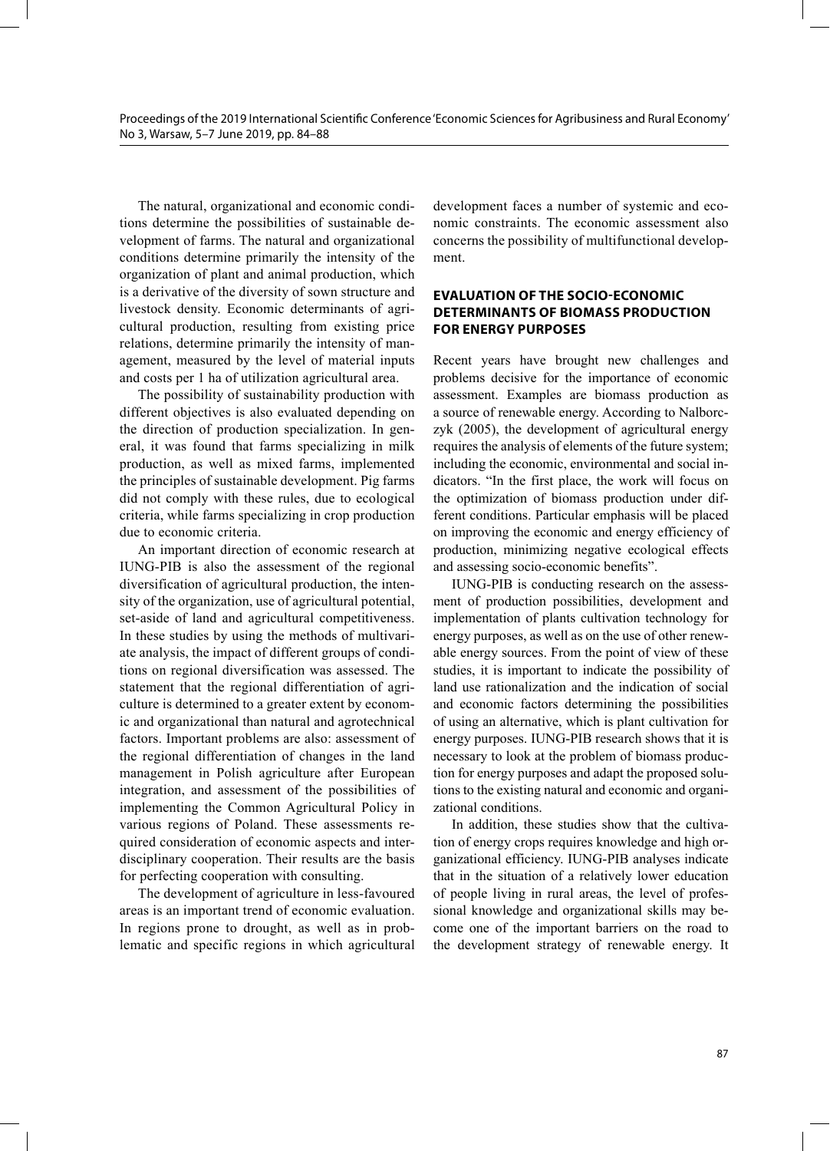The natural, organizational and economic conditions determine the possibilities of sustainable development of farms. The natural and organizational conditions determine primarily the intensity of the organization of plant and animal production, which is a derivative of the diversity of sown structure and livestock density. Economic determinants of agricultural production, resulting from existing price relations, determine primarily the intensity of management, measured by the level of material inputs and costs per 1 ha of utilization agricultural area.

The possibility of sustainability production with different objectives is also evaluated depending on the direction of production specialization. In general, it was found that farms specializing in milk production, as well as mixed farms, implemented the principles of sustainable development. Pig farms did not comply with these rules, due to ecological criteria, while farms specializing in crop production due to economic criteria.

An important direction of economic research at IUNG-PIB is also the assessment of the regional diversification of agricultural production, the intensity of the organization, use of agricultural potential, set-aside of land and agricultural competitiveness. In these studies by using the methods of multivariate analysis, the impact of different groups of conditions on regional diversification was assessed. The statement that the regional differentiation of agriculture is determined to a greater extent by economic and organizational than natural and agrotechnical factors. Important problems are also: assessment of the regional differentiation of changes in the land management in Polish agriculture after European integration, and assessment of the possibilities of implementing the Common Agricultural Policy in various regions of Poland. These assessments required consideration of economic aspects and interdisciplinary cooperation. Their results are the basis for perfecting cooperation with consulting.

The development of agriculture in less-favoured areas is an important trend of economic evaluation. In regions prone to drought, as well as in problematic and specific regions in which agricultural development faces a number of systemic and economic constraints. The economic assessment also concerns the possibility of multifunctional development.

# **EVALUATION OF THE SOCIO-ECONOMIC DETERMINANTS OF BIOMASS PRODUCTION FOR ENERGY PURPOSES**

Recent years have brought new challenges and problems decisive for the importance of economic assessment. Examples are biomass production as a source of renewable energy. According to Nalborczyk (2005), the development of agricultural energy requires the analysis of elements of the future system; including the economic, environmental and social indicators. "In the first place, the work will focus on the optimization of biomass production under different conditions. Particular emphasis will be placed on improving the economic and energy efficiency of production, minimizing negative ecological effects and assessing socio-economic benefits".

IUNG-PIB is conducting research on the assessment of production possibilities, development and implementation of plants cultivation technology for energy purposes, as well as on the use of other renewable energy sources. From the point of view of these studies, it is important to indicate the possibility of land use rationalization and the indication of social and economic factors determining the possibilities of using an alternative, which is plant cultivation for energy purposes. IUNG-PIB research shows that it is necessary to look at the problem of biomass production for energy purposes and adapt the proposed solutions to the existing natural and economic and organizational conditions.

In addition, these studies show that the cultivation of energy crops requires knowledge and high organizational efficiency. IUNG-PIB analyses indicate that in the situation of a relatively lower education of people living in rural areas, the level of professional knowledge and organizational skills may become one of the important barriers on the road to the development strategy of renewable energy. It